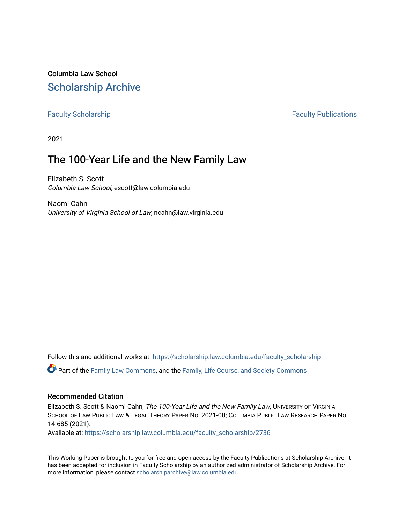# Columbia Law School [Scholarship Archive](https://scholarship.law.columbia.edu/)

### [Faculty Scholarship](https://scholarship.law.columbia.edu/faculty_scholarship) **Faculty Scholarship Faculty Publications**

2021

# The 100-Year Life and the New Family Law

Elizabeth S. Scott Columbia Law School, escott@law.columbia.edu

Naomi Cahn University of Virginia School of Law, ncahn@law.virginia.edu

Follow this and additional works at: [https://scholarship.law.columbia.edu/faculty\\_scholarship](https://scholarship.law.columbia.edu/faculty_scholarship?utm_source=scholarship.law.columbia.edu%2Ffaculty_scholarship%2F2736&utm_medium=PDF&utm_campaign=PDFCoverPages)

Part of the [Family Law Commons,](http://network.bepress.com/hgg/discipline/602?utm_source=scholarship.law.columbia.edu%2Ffaculty_scholarship%2F2736&utm_medium=PDF&utm_campaign=PDFCoverPages) and the [Family, Life Course, and Society Commons](http://network.bepress.com/hgg/discipline/419?utm_source=scholarship.law.columbia.edu%2Ffaculty_scholarship%2F2736&utm_medium=PDF&utm_campaign=PDFCoverPages)

#### Recommended Citation

Elizabeth S. Scott & Naomi Cahn, The 100-Year Life and the New Family Law, UNIVERSITY OF VIRGINIA SCHOOL OF LAW PUBLIC LAW & LEGAL THEORY PAPER NO. 2021-08; COLUMBIA PUBLIC LAW RESEARCH PAPER NO. 14-685 (2021).

Available at: [https://scholarship.law.columbia.edu/faculty\\_scholarship/2736](https://scholarship.law.columbia.edu/faculty_scholarship/2736?utm_source=scholarship.law.columbia.edu%2Ffaculty_scholarship%2F2736&utm_medium=PDF&utm_campaign=PDFCoverPages)

This Working Paper is brought to you for free and open access by the Faculty Publications at Scholarship Archive. It has been accepted for inclusion in Faculty Scholarship by an authorized administrator of Scholarship Archive. For more information, please contact [scholarshiparchive@law.columbia.edu.](mailto:scholarshiparchive@law.columbia.edu)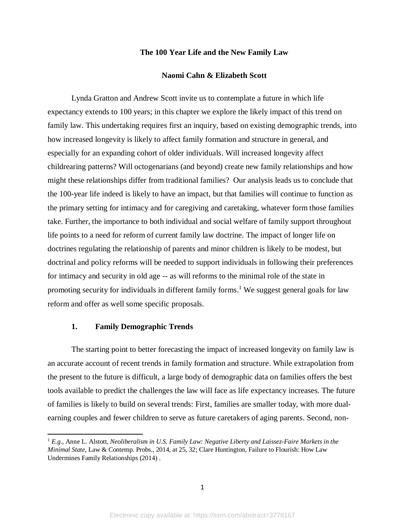#### **The 100 Year Life and the New Family Law**

#### **Naomi Cahn & Elizabeth Scott**

Lynda Gratton and Andrew Scott invite us to contemplate a future in which life expectancy extends to 100 years; in this chapter we explore the likely impact of this trend on family law. This undertaking requires first an inquiry, based on existing demographic trends, into how increased longevity is likely to affect family formation and structure in general, and especially for an expanding cohort of older individuals. Will increased longevity affect childrearing patterns? Will octogenarians (and beyond) create new family relationships and how might these relationships differ from traditional families? Our analysis leads us to conclude that the 100-year life indeed is likely to have an impact, but that families will continue to function as the primary setting for intimacy and for caregiving and caretaking, whatever form those families take. Further, the importance to both individual and social welfare of family support throughout life points to a need for reform of current family law doctrine. The impact of longer life on doctrines regulating the relationship of parents and minor children is likely to be modest, but doctrinal and policy reforms will be needed to support individuals in following their preferences for intimacy and security in old age -- as will reforms to the minimal role of the state in promoting security for individuals in different family forms. <sup>1</sup> We suggest general goals for law reform and offer as well some specific proposals.

#### **1. Family Demographic Trends**

 $\overline{a}$ 

The starting point to better forecasting the impact of increased longevity on family law is an accurate account of recent trends in family formation and structure. While extrapolation from the present to the future is difficult, a large body of demographic data on families offers the best tools available to predict the challenges the law will face as life expectancy increases. The future of families is likely to build on several trends: First, families are smaller today, with more dualearning couples and fewer children to serve as future caretakers of aging parents. Second, non-

<sup>1</sup> *E.g*., Anne L. Alstott, *Neoliberalism in U.S. Family Law: Negative Liberty and Laissez-Faire Markets in the Minimal State*, Law & Contemp. Probs., 2014, at 25, 32; Clare Huntington, Failure to Flourish: How Law Undermines Family Relationships (2014) .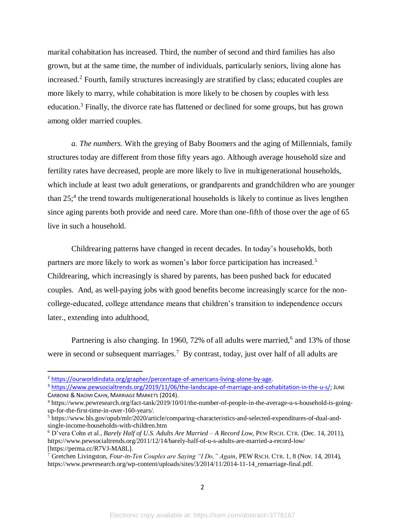marital cohabitation has increased. Third, the number of second and third families has also grown, but at the same time, the number of individuals, particularly seniors, living alone has increased. <sup>2</sup> Fourth, family structures increasingly are stratified by class; educated couples are more likely to marry, while cohabitation is more likely to be chosen by couples with less education.<sup>3</sup> Finally, the divorce rate has flattened or declined for some groups, but has grown among older married couples.

*a. The numbers.* With the greying of Baby Boomers and the aging of Millennials, family structures today are different from those fifty years ago. Although average household size and fertility rates have decreased, people are more likely to live in multigenerational households, which include at least two adult generations, or grandparents and grandchildren who are younger than  $25$ ;<sup>4</sup> the trend towards multigenerational households is likely to continue as lives lengthen since aging parents both provide and need care. More than one-fifth of those over the age of 65 live in such a household.

Childrearing patterns have changed in recent decades. In today's households, both partners are more likely to work as women's labor force participation has increased.<sup>5</sup> Childrearing, which increasingly is shared by parents, has been pushed back for educated couples. And, as well-paying jobs with good benefits become increasingly scarce for the noncollege-educated, college attendance means that children's transition to independence occurs later., extending into adulthood,

Partnering is also changing. In 1960, 72% of all adults were married,<sup>6</sup> and 13% of those were in second or subsequent marriages.<sup>7</sup> By contrast, today, just over half of all adults are

<sup>2</sup> [https://ourworldindata.org/grapher/percentage-of-americans-living-alone-by-age.](https://ourworldindata.org/grapher/percentage-of-americans-living-alone-by-age)

<sup>&</sup>lt;sup>3</sup> [https://www.pewsocialtrends.org/2019/11/06/the-landscape-of-marriage-and-cohabitation-in-the-u-s/;](https://www.pewsocialtrends.org/2019/11/06/the-landscape-of-marriage-and-cohabitation-in-the-u-s/) JUNE CARBONE & NAOMI CAHN, MARRIAGE MARKETS (2014).

<sup>4</sup> https://www.pewresearch.org/fact-tank/2019/10/01/the-number-of-people-in-the-average-u-s-household-is-goingup-for-the-first-time-in-over-160-years/.

<sup>5</sup> https://www.bls.gov/opub/mlr/2020/article/comparing-characteristics-and-selected-expenditures-of-dual-andsingle-income-households-with-children.htm

<sup>6</sup> D'vera Cohn et al., *Barely Half of U.S. Adults Are Married – A Record Low,* PEW RSCH. CTR. (Dec. 14, 2011), https://www.pewsocialtrends.org/2011/12/14/barely-half-of-u-s-adults-are-married-a-record-low/ [https://perma.cc/R7VJ-MA8L].

<sup>7</sup> Gretchen Livingston, *Four-in-Ten Couples are Saying "I Do," Again*, PEW RSCH. CTR. 1, 8 (Nov. 14, 2014), https://www.pewresearch.org/wp-content/uploads/sites/3/2014/11/2014-11-14\_remarriage-final.pdf.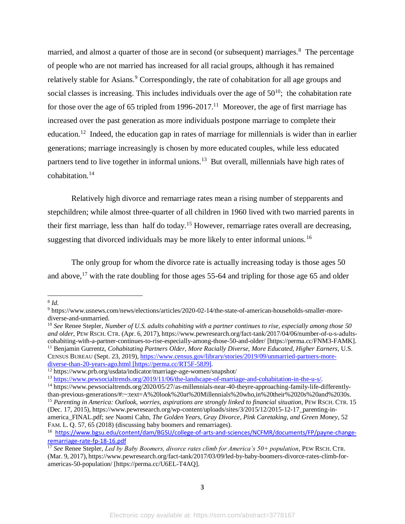married, and almost a quarter of those are in second (or subsequent) marriages.<sup>8</sup> The percentage of people who are not married has increased for all racial groups, although it has remained relatively stable for Asians.<sup>9</sup> Correspondingly, the rate of cohabitation for all age groups and social classes is increasing. This includes individuals over the age of  $50^{10}$ ; the cohabitation rate for those over the age of 65 tripled from 1996-2017.<sup>11</sup> Moreover, the age of first marriage has increased over the past generation as more individuals postpone marriage to complete their education.<sup>12</sup> Indeed, the education gap in rates of marriage for millennials is wider than in earlier generations; marriage increasingly is chosen by more educated couples, while less educated partners tend to live together in informal unions.<sup>13</sup> But overall, millennials have high rates of cohabitation.<sup>14</sup>

Relatively high divorce and remarriage rates mean a rising number of stepparents and stepchildren; while almost three-quarter of all children in 1960 lived with two married parents in their first marriage, less than half do today.<sup>15</sup> However, remarriage rates overall are decreasing, suggesting that divorced individuals may be more likely to enter informal unions.<sup>16</sup>

The only group for whom the divorce rate is actually increasing today is those ages 50 and above,  $17$  with the rate doubling for those ages 55-64 and tripling for those age 65 and older

 8 *Id.*

<sup>9</sup> https://www.usnews.com/news/elections/articles/2020-02-14/the-state-of-american-households-smaller-morediverse-and-unmarried.

<sup>10</sup> *See* Renee Stepler, *Number of U.S. adults cohabiting with a partner continues to rise, especially among those 50 and older*, PEW RSCH. CTR. (Apr. 6, 2017), https://www.pewresearch.org/fact-tank/2017/04/06/number-of-u-s-adultscohabiting-with-a-partner-continues-to-rise-especially-among-those-50-and-older/ [https://perma.cc/FNM3-FAMK]. <sup>11</sup> Benjamin Gurrentz, *Cohabitating Partners Older, More Racially Diverse, More Educated, Higher Earners, U.S.* CENSUS BUREAU (Sept. 23, 2019), [https://www.census.gov/library/stories/2019/09/unmarried-partners-more](https://www.census.gov/library/stories/2019/09/unmarried-partners-more-diverse-than-20-years-ago.html)[diverse-than-20-years-ago.html](https://www.census.gov/library/stories/2019/09/unmarried-partners-more-diverse-than-20-years-ago.html) [https://perma.cc/RT5F-58J9].

<sup>12</sup> https://www.prb.org/usdata/indicator/marriage-age-women/snapshot/

<sup>13</sup> [https://www.pewsocialtrends.org/2019/11/06/the-landscape-of-marriage-and-cohabitation-in-the-u-s/.](https://www.pewsocialtrends.org/2019/11/06/the-landscape-of-marriage-and-cohabitation-in-the-u-s/)

<sup>&</sup>lt;sup>14</sup> https://www.pewsocialtrends.org/2020/05/27/as-millennials-near-40-theyre-approaching-family-life-differentlythan-previous-generations/#:~:text=A%20look%20at%20Millennials%20who,in%20their%2020s%20and%2030s.

<sup>15</sup> *Parenting in America: Outlook, worries, aspirations are strongly linked to financial situation*, PEW RSCH. CTR. 15 (Dec. 17, 2015), https://www.pewresearch.org/wp-content/uploads/sites/3/2015/12/2015-12-17\_parenting-inamerica\_FINAL.pdf; *see* Naomi Cahn, *The Golden Years, Gray Divorce, Pink Caretaking, and Green Money*, 52 FAM. L. Q. 57, 65 (2018) (discussing baby boomers and remarriages).

<sup>16</sup> [https://www.bgsu.edu/content/dam/BGSU/college-of-arts-and-sciences/NCFMR/documents/FP/payne-change](https://www.bgsu.edu/content/dam/BGSU/college-of-arts-and-sciences/NCFMR/documents/FP/payne-change-remarriage-rate-fp-18-16.pdf)[remarriage-rate-fp-18-16.pdf](https://www.bgsu.edu/content/dam/BGSU/college-of-arts-and-sciences/NCFMR/documents/FP/payne-change-remarriage-rate-fp-18-16.pdf)

<sup>&</sup>lt;sup>17</sup> See Renee Stepler, *Led by Baby Boomers, divorce rates climb for America's 50+ population*, PEW RSCH. CTR. (Mar. 9, 2017), https://www.pewresearch.org/fact-tank/2017/03/09/led-by-baby-boomers-divorce-rates-climb-foramericas-50-population/ [https://perma.cc/U6EL-T4AQ].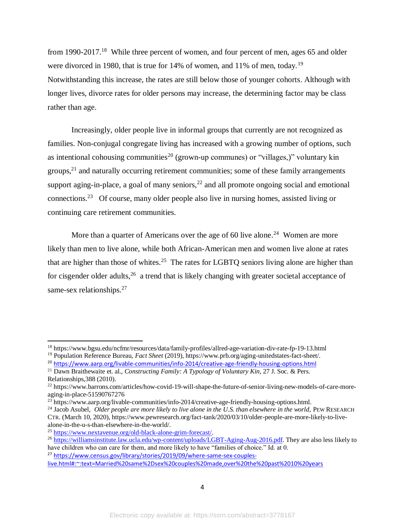from 1990-2017.<sup>18</sup> While three percent of women, and four percent of men, ages 65 and older were divorced in 1980, that is true for 14% of women, and 11% of men, today.<sup>19</sup> Notwithstanding this increase, the rates are still below those of younger cohorts. Although with longer lives, divorce rates for older persons may increase, the determining factor may be class rather than age.

Increasingly, older people live in informal groups that currently are not recognized as families. Non-conjugal congregate living has increased with a growing number of options, such as intentional cohousing communities<sup>20</sup> (grown-up communes) or "villages,)" voluntary kin groups, $21$  and naturally occurring retirement communities; some of these family arrangements support aging-in-place, a goal of many seniors, $^{22}$  and all promote ongoing social and emotional connections.<sup>23</sup> Of course, many older people also live in nursing homes, assisted living or continuing care retirement communities.

More than a quarter of Americans over the age of 60 live alone.<sup>24</sup> Women are more likely than men to live alone, while both African-American men and women live alone at rates that are higher than those of whites.<sup>25</sup> The rates for LGBTQ seniors living alone are higher than for cisgender older adults,  $26$  a trend that is likely changing with greater societal acceptance of same-sex relationships.<sup>27</sup>

<sup>18</sup> https://www.bgsu.edu/ncfmr/resources/data/family-profiles/allred-age-variation-div-rate-fp-19-13.html

<sup>19</sup> Population Reference Bureau, *Fact Sheet* (2019), https://www.prb.org/aging-unitedstates-fact-sheet/.

<sup>&</sup>lt;sup>20</sup> <https://www.aarp.org/livable-communities/info-2014/creative-age-friendly-housing-options.html>

<sup>21</sup> Dawn Braithewaite et. al., *Constructing Family: A Typology of Voluntary Kin*, 27 J. Soc. & Pers. Relationships,388 (2010).

<sup>&</sup>lt;sup>22</sup> https://www.barrons.com/articles/how-covid-19-will-shape-the-future-of-senior-living-new-models-of-care-moreaging-in-place-51590767276

<sup>&</sup>lt;sup>23</sup> https://www.aarp.org/livable-communities/info-2014/creative-age-friendly-housing-options.html.

<sup>&</sup>lt;sup>24</sup> Jacob Asubel, *Older people are more likely to live alone in the U.S. than elsewhere in the world, PEW RESEARCH* CTR. (March 10, 2020), https://www.pewresearch.org/fact-tank/2020/03/10/older-people-are-more-likely-to-livealone-in-the-u-s-than-elsewhere-in-the-world/.

<sup>25</sup> [https://www.nextavenue.org/old-black-alone-grim-forecast/.](https://www.nextavenue.org/old-black-alone-grim-forecast/)

<sup>&</sup>lt;sup>26</sup> [https://williamsinstitute.law.ucla.edu/wp-content/uploads/LGBT-Aging-Aug-2016.pdf.](https://williamsinstitute.law.ucla.edu/wp-content/uploads/LGBT-Aging-Aug-2016.pdf) They are also less likely to have children who can care for them, and more likely to have "families of choice." Id. at 0.

<sup>27</sup> [https://www.census.gov/library/stories/2019/09/where-same-sex-couples-](https://www.census.gov/library/stories/2019/09/where-same-sex-couples-live.html#:~:text=Married%20same%2Dsex%20couples%20made,over%20the%20past%2010%20years)

[live.html#:~:text=Married%20same%2Dsex%20couples%20made,over%20the%20past%2010%20years](https://www.census.gov/library/stories/2019/09/where-same-sex-couples-live.html#:~:text=Married%20same%2Dsex%20couples%20made,over%20the%20past%2010%20years)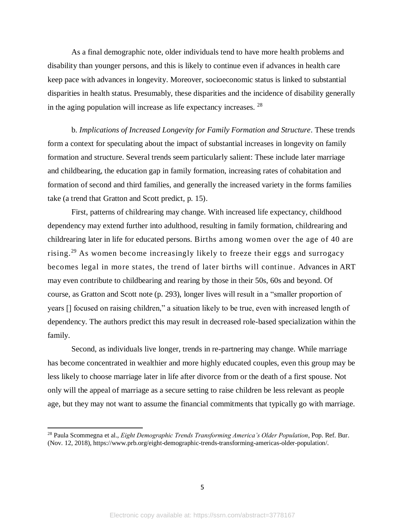As a final demographic note, older individuals tend to have more health problems and disability than younger persons, and this is likely to continue even if advances in health care keep pace with advances in longevity. Moreover, socioeconomic status is linked to substantial disparities in health status. Presumably, these disparities and the incidence of disability generally in the aging population will increase as life expectancy increases. <sup>28</sup>

b. *Implications of Increased Longevity for Family Formation and Structure*. These trends form a context for speculating about the impact of substantial increases in longevity on family formation and structure. Several trends seem particularly salient: These include later marriage and childbearing, the education gap in family formation, increasing rates of cohabitation and formation of second and third families, and generally the increased variety in the forms families take (a trend that Gratton and Scott predict, p. 15).

First, patterns of childrearing may change. With increased life expectancy, childhood dependency may extend further into adulthood, resulting in family formation, childrearing and childrearing later in life for educated persons. Births among women over the age of 40 are rising.<sup>29</sup> As women become increasingly likely to freeze their eggs and surrogacy becomes legal in more states, the trend of later births will continue . Advances in ART may even contribute to childbearing and rearing by those in their 50s, 60s and beyond. Of course, as Gratton and Scott note (p. 293), longer lives will result in a "smaller proportion of years [] focused on raising children," a situation likely to be true, even with increased length of dependency. The authors predict this may result in decreased role-based specialization within the family.

Second, as individuals live longer, trends in re-partnering may change. While marriage has become concentrated in wealthier and more highly educated couples, even this group may be less likely to choose marriage later in life after divorce from or the death of a first spouse. Not only will the appeal of marriage as a secure setting to raise children be less relevant as people age, but they may not want to assume the financial commitments that typically go with marriage.

<sup>28</sup> Paula Scommegna et al., *Eight Demographic Trends Transforming America's Older Population*, Pop. Ref. Bur. (Nov. 12, 2018), https://www.prb.org/eight-demographic-trends-transforming-americas-older-population/.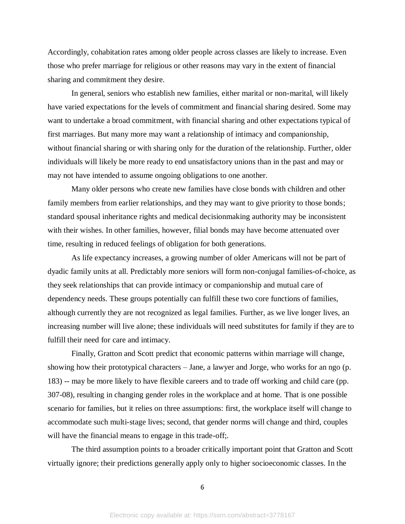Accordingly, cohabitation rates among older people across classes are likely to increase. Even those who prefer marriage for religious or other reasons may vary in the extent of financial sharing and commitment they desire.

In general, seniors who establish new families, either marital or non-marital, will likely have varied expectations for the levels of commitment and financial sharing desired. Some may want to undertake a broad commitment, with financial sharing and other expectations typical of first marriages. But many more may want a relationship of intimacy and companionship, without financial sharing or with sharing only for the duration of the relationship. Further, older individuals will likely be more ready to end unsatisfactory unions than in the past and may or may not have intended to assume ongoing obligations to one another.

Many older persons who create new families have close bonds with children and other family members from earlier relationships, and they may want to give priority to those bonds; standard spousal inheritance rights and medical decisionmaking authority may be inconsistent with their wishes. In other families, however, filial bonds may have become attenuated over time, resulting in reduced feelings of obligation for both generations.

As life expectancy increases, a growing number of older Americans will not be part of dyadic family units at all. Predictably more seniors will form non-conjugal families-of-choice, as they seek relationships that can provide intimacy or companionship and mutual care of dependency needs. These groups potentially can fulfill these two core functions of families, although currently they are not recognized as legal families. Further, as we live longer lives, an increasing number will live alone; these individuals will need substitutes for family if they are to fulfill their need for care and intimacy.

Finally, Gratton and Scott predict that economic patterns within marriage will change, showing how their prototypical characters – Jane, a lawyer and Jorge, who works for an ngo (p. 183) -- may be more likely to have flexible careers and to trade off working and child care (pp. 307-08), resulting in changing gender roles in the workplace and at home. That is one possible scenario for families, but it relies on three assumptions: first, the workplace itself will change to accommodate such multi-stage lives; second, that gender norms will change and third, couples will have the financial means to engage in this trade-off;.

The third assumption points to a broader critically important point that Gratton and Scott virtually ignore; their predictions generally apply only to higher socioeconomic classes. In the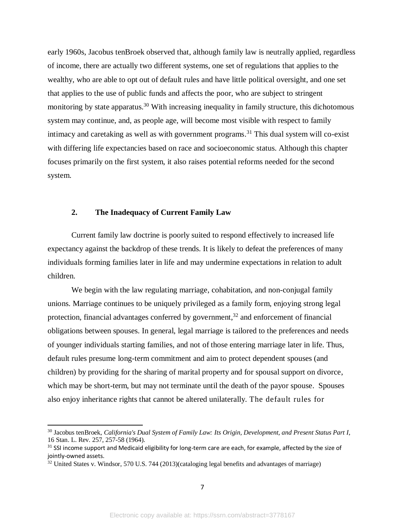early 1960s, Jacobus tenBroek observed that, although family law is neutrally applied, regardless of income, there are actually two different systems, one set of regulations that applies to the wealthy, who are able to opt out of default rules and have little political oversight, and one set that applies to the use of public funds and affects the poor, who are subject to stringent monitoring by state apparatus.<sup>30</sup> With increasing inequality in family structure, this dichotomous system may continue, and, as people age, will become most visible with respect to family intimacy and caretaking as well as with government programs. <sup>31</sup> This dual system will co-exist with differing life expectancies based on race and socioeconomic status. Although this chapter focuses primarily on the first system, it also raises potential reforms needed for the second system.

# **2. The Inadequacy of Current Family Law**

Current family law doctrine is poorly suited to respond effectively to increased life expectancy against the backdrop of these trends. It is likely to defeat the preferences of many individuals forming families later in life and may undermine expectations in relation to adult children.

We begin with the law regulating marriage, cohabitation, and non-conjugal family unions. Marriage continues to be uniquely privileged as a family form, enjoying strong legal protection, financial advantages conferred by government, $32$  and enforcement of financial obligations between spouses. In general, legal marriage is tailored to the preferences and needs of younger individuals starting families, and not of those entering marriage later in life. Thus, default rules presume long-term commitment and aim to protect dependent spouses (and children) by providing for the sharing of marital property and for spousal support on divorce, which may be short-term, but may not terminate until the death of the payor spouse. Spouses also enjoy inheritance rights that cannot be altered unilaterally. The default rules for

<sup>30</sup> Jacobus tenBroek, *California's Dual System of Family Law: Its Origin, Development, and Present Status Part I*, 16 Stan. L. Rev. 257, 257-58 (1964).

<sup>&</sup>lt;sup>31</sup> SSI income support and Medicaid eligibility for long-term care are each, for example, affected by the size of jointly-owned assets.

<sup>&</sup>lt;sup>32</sup> United States v. Windsor, 570 U.S. 744 (2013)(cataloging legal benefits and advantages of marriage)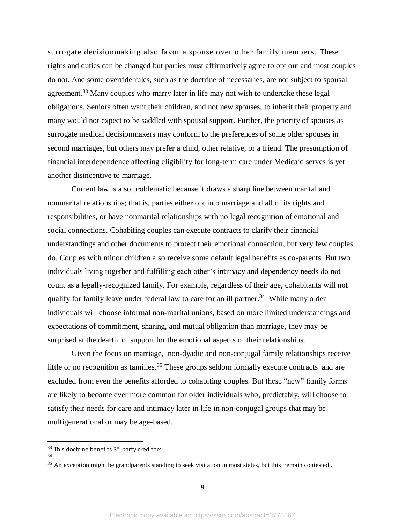surrogate decisionmaking also favor a spouse over other family members. These rights and duties can be changed but parties must affirmatively agree to opt out and most couples do not. And some override rules, such as the doctrine of necessaries, are not subject to spousal agreement.<sup>33</sup> Many couples who marry later in life may not wish to undertake these legal obligations. Seniors often want their children, and not new spouses, to inherit their property and many would not expect to be saddled with spousal support. Further, the priority of spouses as surrogate medical decisionmakers may conform to the preferences of some older spouses in second marriages, but others may prefer a child, other relative, or a friend. The presumption of financial interdependence affecting eligibility for long-term care under Medicaid serves is yet another disincentive to marriage.

Current law is also problematic because it draws a sharp line between marital and nonmarital relationships; that is, parties either opt into marriage and all of its rights and responsibilities, or have nonmarital relationships with no legal recognition of emotional and social connections. Cohabiting couples can execute contracts to clarify their financial understandings and other documents to protect their emotional connection, but very few couples do. Couples with minor children also receive some default legal benefits as co-parents. But two individuals living together and fulfilling each other's intimacy and dependency needs do not count as a legally-recognized family. For example, regardless of their age, cohabitants will not qualify for family leave under federal law to care for an ill partner.<sup>34</sup> While many older individuals will choose informal non-marital unions, based on more limited understandings and expectations of commitment, sharing, and mutual obligation than marriage, they may be surprised at the dearth of support for the emotional aspects of their relationships.

Given the focus on marriage, non-dyadic and non-conjugal family relationships receive little or no recognition as families.<sup>35</sup> These groups seldom formally execute contracts and are excluded from even the benefits afforded to cohabiting couples. But these "new" family forms are likely to become ever more common for older individuals who, predictably, will choose to satisfy their needs for care and intimacy later in life in non-conjugal groups that may be multigenerational or may be age-based.

<sup>&</sup>lt;sup>33</sup> This doctrine benefits 3<sup>rd</sup> party creditors.

<sup>34</sup>

<sup>&</sup>lt;sup>35</sup> An exception might be grandparents standing to seek visitation in most states, but this remain contested,.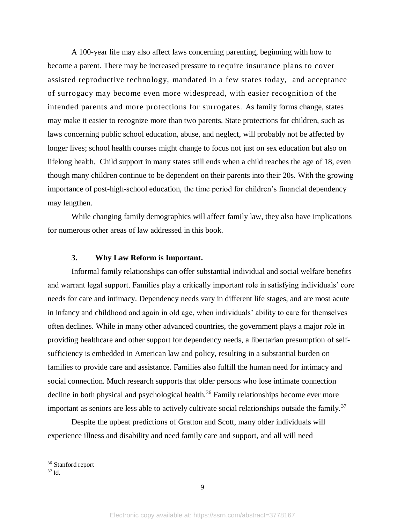A 100-year life may also affect laws concerning parenting, beginning with how to become a parent. There may be increased pressure to require insurance plans to cover assisted reproductive technology, mandated in a few states today, and acceptance of surrogacy may become even more widespread, with easier recognition of the intended parents and more protections for surrogates. As family forms change, states may make it easier to recognize more than two parents. State protections for children, such as laws concerning public school education, abuse, and neglect, will probably not be affected by longer lives; school health courses might change to focus not just on sex education but also on lifelong health. Child support in many states still ends when a child reaches the age of 18, even though many children continue to be dependent on their parents into their 20s. With the growing importance of post-high-school education, the time period for children's financial dependency may lengthen.

While changing family demographics will affect family law, they also have implications for numerous other areas of law addressed in this book.

## **3. Why Law Reform is Important.**

Informal family relationships can offer substantial individual and social welfare benefits and warrant legal support. Families play a critically important role in satisfying individuals' core needs for care and intimacy. Dependency needs vary in different life stages, and are most acute in infancy and childhood and again in old age, when individuals' ability to care for themselves often declines. While in many other advanced countries, the government plays a major role in providing healthcare and other support for dependency needs, a libertarian presumption of selfsufficiency is embedded in American law and policy, resulting in a substantial burden on families to provide care and assistance. Families also fulfill the human need for intimacy and social connection. Much research supports that older persons who lose intimate connection decline in both physical and psychological health.<sup>36</sup> Family relationships become ever more important as seniors are less able to actively cultivate social relationships outside the family.<sup>37</sup>

Despite the upbeat predictions of Gratton and Scott, many older individuals will experience illness and disability and need family care and support, and all will need

 $\overline{\phantom{a}}$ 

<sup>36</sup> Stanford report

 $37$  Id.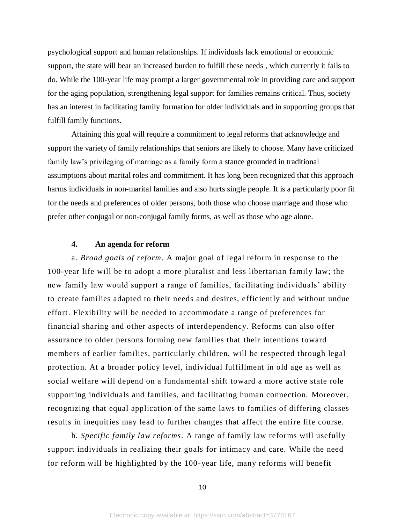psychological support and human relationships. If individuals lack emotional or economic support, the state will bear an increased burden to fulfill these needs , which currently it fails to do. While the 100-year life may prompt a larger governmental role in providing care and support for the aging population, strengthening legal support for families remains critical. Thus, society has an interest in facilitating family formation for older individuals and in supporting groups that fulfill family functions.

Attaining this goal will require a commitment to legal reforms that acknowledge and support the variety of family relationships that seniors are likely to choose. Many have criticized family law's privileging of marriage as a family form a stance grounded in traditional assumptions about marital roles and commitment. It has long been recognized that this approach harms individuals in non-marital families and also hurts single people. It is a particularly poor fit for the needs and preferences of older persons, both those who choose marriage and those who prefer other conjugal or non-conjugal family forms, as well as those who age alone.

# **4. An agenda for reform**

a. *Broad goals of reform*. A major goal of legal reform in response to the 100-year life will be to adopt a more pluralist and less libertarian family law; the new family law would support a range of families, facilitating individuals' ability to create families adapted to their needs and desires, efficiently and without undue effort. Flexibility will be needed to accommodate a range of preferences for financial sharing and other aspects of interdependency. Reforms can also offer assurance to older persons forming new families that their intentions toward members of earlier families, particularly children, will be respected through legal protection. At a broader policy level, individual fulfillment in old age as well as social welfare will depend on a fundamental shift toward a more active state role supporting individuals and families, and facilitating human connection. Moreover, recognizing that equal application of the same laws to families of differing classes results in inequities may lead to further changes that affect the entire life course.

b. *Specific family law reforms*. A range of family law reforms will usefully support individuals in realizing their goals for intimacy and care. While the need for reform will be highlighted by the 100-year life, many reforms will benefit

10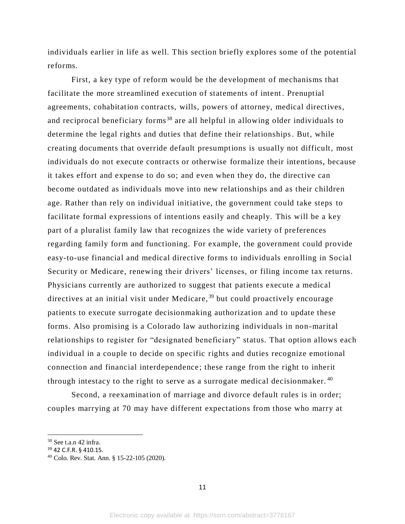individuals earlier in life as well. This section briefly explores some of the potential reforms.

First, a key type of reform would be the development of mechanisms that facilitate the more streamlined execution of statements of intent. Prenuptial agreements, cohabitation contracts, wills, powers of attorney, medical directives, and reciprocal beneficiary forms<sup>38</sup> are all helpful in allowing older individuals to determine the legal rights and duties that define their relationships. But, while creating documents that override default presumptions is usually not difficult, most individuals do not execute contracts or otherwise formalize their intentions, because it takes effort and expense to do so; and even when they do, the directive can become outdated as individuals move into new relationships and as their children age. Rather than rely on individual initiative, the government could take steps to facilitate formal expressions of intentions easily and cheaply. This will be a key part of a pluralist family law that recognize s the wide variety of preferences regarding family form and functioning. For example, the government could provide easy-to-use financial and medical directive forms to individuals enrolling in Social Security or Medicare, renewing their drivers' licenses, or filing income tax returns. Physicians currently are authorized to suggest that patients execute a medical directives at an initial visit under Medicare,<sup>39</sup> but could proactively encourage patients to execute surrogate decisionmaking authorization and to update these forms. Also promising is a Colorado law authorizing individuals in non-marital relationships to register for "designated beneficiary" status. That option allows each individual in a couple to decide on specific rights and duties recognize emotional connection and financial interdependence ; these range from the right to inherit through intestacy to the right to serve as a surrogate medical decisionmaker. <sup>40</sup>

Second, a reexamination of marriage and divorce default rules is in order; couples marrying at 70 may have different expectations from those who marry at

 $\overline{\phantom{a}}$ 

<sup>38</sup> See t.a.n 42 infra.

<sup>39</sup> 42 C.F.R. § 410.15.

<sup>40</sup> Colo. Rev. Stat. Ann. § 15-22-105 (2020).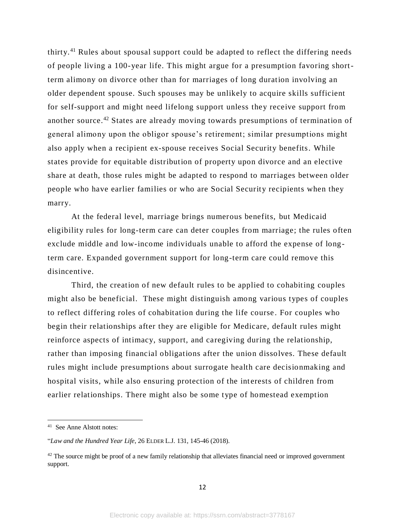thirty.<sup>41</sup> Rules about spousal support could be adapted to reflect the differing needs of people living a 100-year life. This might argue for a presumption favoring shortterm alimony on divorce other than for marriages of long duration involving an older dependent spouse. Such spouses may be unlikely to acquire skills sufficient for self-support and might need lifelong support unless they receive support from another source.<sup>42</sup> States are already moving towards presumptions of termination of general alimony upon the obligor spouse's retirement; similar presumptions might also apply when a recipient ex-spouse receives Social Security benefits. While states provide for equitable distribution of property upon divorce and an elective share at death, those rules might be adapted to respond to marriages between older people who have earlier families or who are Social Security recipients when they marry.

At the federal level, marriage brings numerous benefits, but Medicaid eligibility rules for long-term care can deter couples from marriage; the rules often exclude middle and low-income individuals unable to afford the expense of longterm care. Expanded government support for long-term care could remove this disincentive.

Third, the creation of new default rules to be applied to cohabiting couples might also be beneficial. These might distinguish among various types of couples to reflect differing roles of cohabitation during the life course . For couples who begin their relationships after they are eligible for Medicare, default rules might reinforce aspects of intimacy, support, and caregiving during the relationship, rather than imposing financial obligations after the union dissolves. These default rules might include presumptions about surrogate health care decisionmaking and hospital visits, while also ensuring protection of the interests of children from earlier relationships. There might also be some type of homestead exemption

<sup>41</sup> See Anne Alstott notes:

<sup>&</sup>quot;*Law and the Hundred Year Life*, 26 ELDER L.J. 131, 145-46 (2018).

 $42$  The source might be proof of a new family relationship that alleviates financial need or improved government support.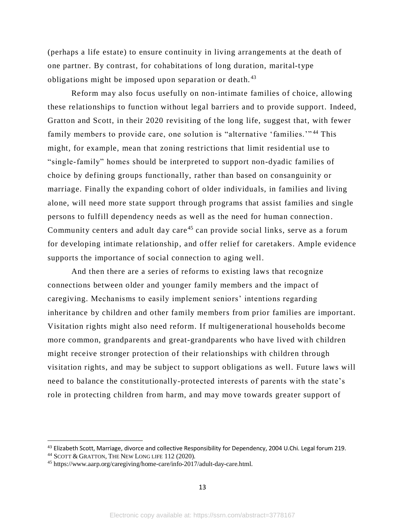(perhaps a life estate) to ensure continuity in living arrangements at the death of one partner. By contrast, for cohabitations of long duration, marital-type obligations might be imposed upon separation or death.<sup>43</sup>

Reform may also focus usefully on non-intimate families of choice, allowing these relationships to function without legal barriers and to provide support. Indeed, Gratton and Scott, in their 2020 revisiting of the long life, suggest that, with fewer family members to provide care, one solution is "alternative 'families.'"<sup>44</sup> This might, for example, mean that zoning restrictions that limit residential use to "single-family" homes should be interpreted to support non-dyadic families of choice by defining groups functionally, rather than based on consanguinity or marriage. Finally the expanding cohort of older individuals, in families and living alone, will need more state support through programs that assist families and single persons to fulfill dependency needs as well as the need for human connection . Community centers and adult day care<sup>45</sup> can provide social links, serve as a forum for developing intimate relationship, and offer relief for caretakers. Ample evidence supports the importance of social connection to aging well.

And then there are a series of reforms to existing laws that recognize connections between older and younger family members and the impact of caregiving. Mechanisms to easily implement seniors' intentions regarding inheritance by children and other family members from prior families are important. Visitation rights might also need reform. If multigenerational households become more common, grandparents and great-grandparents who have lived with children might receive stronger protection of their relationships with children through visitation rights, and may be subject to support obligations as well. Future laws will need to balance the constitutionally-protected interests of parents with the state's role in protecting children from harm, and may move towards greater support of

<sup>&</sup>lt;sup>43</sup> Elizabeth Scott, Marriage, divorce and collective Responsibility for Dependency, 2004 U.Chi. Legal forum 219.

<sup>44</sup> SCOTT & GRATTON, THE NEW LONG LIFE 112 (2020).

<sup>45</sup> https://www.aarp.org/caregiving/home-care/info-2017/adult-day-care.html.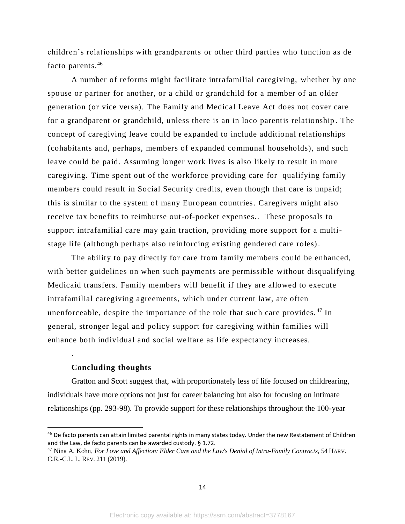children's relationships with grandparents or other third parties who function as de facto parents.<sup>46</sup>

A number of reforms might facilitate intrafamilial caregiving, whether by one spouse or partner for another, or a child or grandchild for a member of an older generation (or vice versa). The Family and Medical Leave Act does not cover care for a grandparent or grandchild, unless there is an in loco parentis relationship . The concept of caregiving leave could be expanded to include additional relationships (cohabitants and, perhaps, members of expanded communal households), and such leave could be paid. Assuming longer work lives is also likely to result in more caregiving. Time spent out of the workforce providing care for qualifying family members could result in Social Security credits, even though that care is unpaid; this is similar to the system of many European countries. Caregivers might also receive tax benefits to reimburse out-of-pocket expenses.. These proposals to support intrafamilial care may gain traction, providing more support for a multistage life (although perhaps also reinforcing existing gendered care roles).

The ability to pay directly for care from family members could be enhanced, with better guidelines on when such payments are permissible without disqualifying Medicaid transfers. Family members will benefit if they are allowed to execute intrafamilial caregiving agreements, which under current law, are often unenforceable, despite the importance of the role that such care provides.<sup>47</sup> In general, stronger legal and policy support for caregiving within families will enhance both individual and social welfare as life expectancy increases.

## **Concluding thoughts**

.

 $\overline{a}$ 

Gratton and Scott suggest that, with proportionately less of life focused on childrearing, individuals have more options not just for career balancing but also for focusing on intimate relationships (pp. 293-98). To provide support for these relationships throughout the 100-year

<sup>46</sup> De facto parents can attain limited parental rights in many states today. Under the new Restatement of Children and the Law, de facto parents can be awarded custody. § 1.72.

<sup>47</sup> Nina A. Kohn, *For Love and Affection: Elder Care and the Law's Denial of Intra-Family Contracts*, 54 HARV. C.R.-C.L. L. REV. 211 (2019).